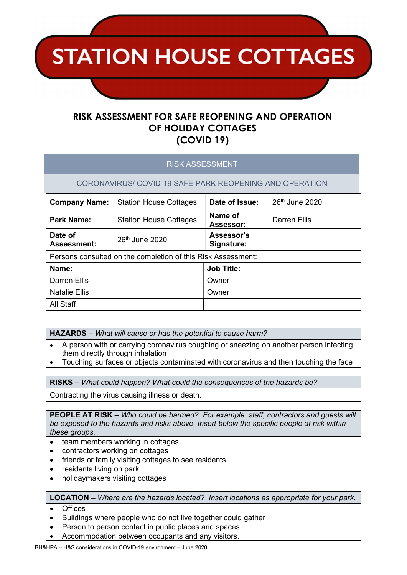**STATION HOUSE COTTAGES** 

# RISK ASSESSMENT FOR SAFE REOPENING AND OPERATION OF HOLIDAY COTTAGES (COVID 19)

### RISK ASSESSMENT

CORONAVIRUS/ COVID-19 SAFE PARK REOPENING AND OPERATION

| <b>Company Name:</b>                                         | <b>Station House Cottages</b>                         | Date of Issue:           | 26 <sup>th</sup> June 2020 |  |  |  |  |
|--------------------------------------------------------------|-------------------------------------------------------|--------------------------|----------------------------|--|--|--|--|
| <b>Park Name:</b>                                            | Name of<br><b>Station House Cottages</b><br>Assessor: |                          | <b>Darren Ellis</b>        |  |  |  |  |
| Date of<br><b>Assessment:</b>                                | 26 <sup>th</sup> June 2020                            | Assessor's<br>Signature: |                            |  |  |  |  |
| Persons consulted on the completion of this Risk Assessment: |                                                       |                          |                            |  |  |  |  |
| Name:                                                        |                                                       | <b>Job Title:</b>        |                            |  |  |  |  |
| <b>Darren Ellis</b>                                          |                                                       | Owner                    |                            |  |  |  |  |
| <b>Natalie Ellis</b>                                         |                                                       | Owner                    |                            |  |  |  |  |
| All Staff                                                    |                                                       |                          |                            |  |  |  |  |

- HAZARDS What will cause or has the potential to cause harm?
- A person with or carrying coronavirus coughing or sneezing on another person infecting them directly through inhalation
- Touching surfaces or objects contaminated with coronavirus and then touching the face

RISKS – What could happen? What could the consequences of the hazards be?

Contracting the virus causing illness or death.

PEOPLE AT RISK – Who could be harmed? For example: staff, contractors and guests will be exposed to the hazards and risks above. Insert below the specific people at risk within these groups.

- team members working in cottages
- contractors working on cottages
- friends or family visiting cottages to see residents
- residents living on park
- holidaymakers visiting cottages

LOCATION – Where are the hazards located? Insert locations as appropriate for your park.

- Offices
- Buildings where people who do not live together could gather
- Person to person contact in public places and spaces
- Accommodation between occupants and any visitors.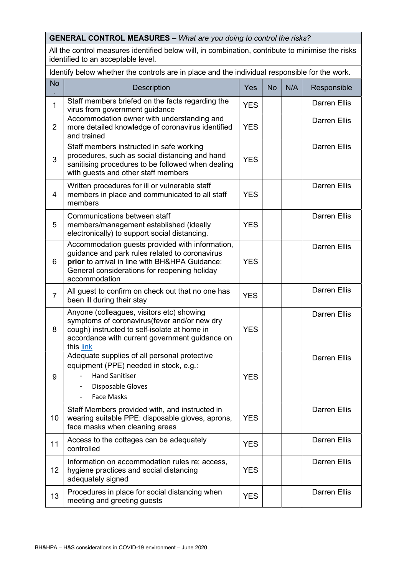#### GENERAL CONTROL MEASURES – What are you doing to control the risks? All the control measures identified below will, in combination, contribute to minimise the risks identified to an acceptable level. Identify below whether the controls are in place and the individual responsible for the work. No . Description  $\vert$  Yes No N/A Responsible 1 Staff members briefed on the facts regarding the virus from government guidance YES Darren Ellis 2 Accommodation owner with understanding and more detailed knowledge of coronavirus identified and trained YES Darren Ellis 3 Staff members instructed in safe working procedures, such as social distancing and hand sanitising procedures to be followed when dealing with guests and other staff members YES Darren Ellis 4 Written procedures for ill or vulnerable staff members in place and communicated to all staff members **YES** Darren Ellis 5 Communications between staff members/management established (ideally electronically) to support social distancing. **YFS** Darren Ellis 6 Accommodation guests provided with information, guidance and park rules related to coronavirus prior to arrival in line with BH&HPA Guidance: General considerations for reopening holiday accommodation **YES** Darren Ellis  $7$  All guest to confirm on check out that no one has  $YES$  Darren Ellis been ill during their stay 8 Anyone (colleagues, visitors etc) showing symptoms of coronavirus(fever and/or new dry cough) instructed to self-isolate at home in accordance with current government guidance on this link YES Darren Ellis 9 Adequate supplies of all personal protective equipment (PPE) needed in stock, e.g.: - Hand Sanitiser Disposable Gloves Face Masks YES Darren Ellis 10 Staff Members provided with, and instructed in wearing suitable PPE: disposable gloves, aprons, face masks when cleaning areas YES Darren Ellis 11  $\Big|$  Access to the cottages can be adequately  $\Big|$  YES  $\Big|$ Darren Ellis 12 Information on accommodation rules re; access, hygiene practices and social distancing adequately signed YES Darren Ellis  $\begin{array}{c|c} 13 \end{array}$  Procedures in place for social distancing when Procedures in place for social distancing when  $YES$ Darren Ellis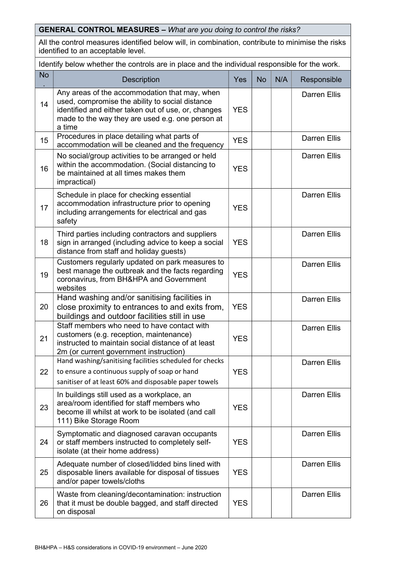GENERAL CONTROL MEASURES – What are you doing to control the risks?

All the control measures identified below will, in combination, contribute to minimise the risks identified to an acceptable level.

Identify below whether the controls are in place and the individual responsible for the work.

| <b>No</b> | <b>Description</b>                                                                                                                                                                                                    | Yes        | <b>No</b> | N/A | Responsible         |
|-----------|-----------------------------------------------------------------------------------------------------------------------------------------------------------------------------------------------------------------------|------------|-----------|-----|---------------------|
| 14        | Any areas of the accommodation that may, when<br>used, compromise the ability to social distance<br>identified and either taken out of use, or, changes<br>made to the way they are used e.g. one person at<br>a time | <b>YES</b> |           |     | <b>Darren Ellis</b> |
| 15        | Procedures in place detailing what parts of<br>accommodation will be cleaned and the frequency                                                                                                                        | <b>YES</b> |           |     | <b>Darren Ellis</b> |
| 16        | No social/group activities to be arranged or held<br>within the accommodation. (Social distancing to<br>be maintained at all times makes them<br>impractical)                                                         | <b>YES</b> |           |     | <b>Darren Ellis</b> |
| 17        | Schedule in place for checking essential<br>accommodation infrastructure prior to opening<br>including arrangements for electrical and gas<br>safety                                                                  | <b>YES</b> |           |     | <b>Darren Ellis</b> |
| 18        | Third parties including contractors and suppliers<br>sign in arranged (including advice to keep a social<br>distance from staff and holiday guests)                                                                   | <b>YES</b> |           |     | <b>Darren Ellis</b> |
| 19        | Customers regularly updated on park measures to<br>best manage the outbreak and the facts regarding<br>coronavirus, from BH&HPA and Government<br>websites                                                            | <b>YES</b> |           |     | <b>Darren Ellis</b> |
| 20        | Hand washing and/or sanitising facilities in<br>close proximity to entrances to and exits from,<br>buildings and outdoor facilities still in use                                                                      | <b>YES</b> |           |     | <b>Darren Ellis</b> |
| 21        | Staff members who need to have contact with<br>customers (e.g. reception, maintenance)<br>instructed to maintain social distance of at least<br>2m (or current government instruction)                                | <b>YES</b> |           |     | <b>Darren Ellis</b> |
| 22        | Hand washing/sanitising facilities scheduled for checks<br>to ensure a continuous supply of soap or hand<br>sanitiser of at least 60% and disposable paper towels                                                     | <b>YES</b> |           |     | <b>Darren Ellis</b> |
| 23        | In buildings still used as a workplace, an<br>area/room identified for staff members who<br>become ill whilst at work to be isolated (and call<br>111) Bike Storage Room                                              | <b>YES</b> |           |     | <b>Darren Ellis</b> |
| 24        | Symptomatic and diagnosed caravan occupants<br>or staff members instructed to completely self-<br>isolate (at their home address)                                                                                     | <b>YES</b> |           |     | <b>Darren Ellis</b> |
| 25        | Adequate number of closed/lidded bins lined with<br>disposable liners available for disposal of tissues<br>and/or paper towels/cloths                                                                                 | <b>YES</b> |           |     | <b>Darren Ellis</b> |
| 26        | Waste from cleaning/decontamination: instruction<br>that it must be double bagged, and staff directed<br>on disposal                                                                                                  | <b>YES</b> |           |     | <b>Darren Ellis</b> |